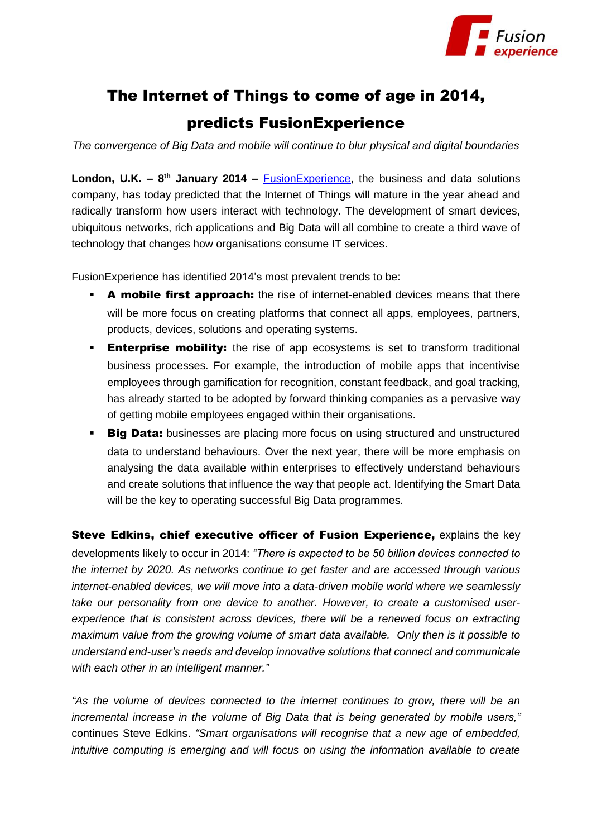

# The Internet of Things to come of age in 2014,

## predicts FusionExperience

*The convergence of Big Data and mobile will continue to blur physical and digital boundaries*

**London, U.K. – 8<sup>th</sup> January 2014** – **FusionExperience**, the business and data solutions company, has today predicted that the Internet of Things will mature in the year ahead and radically transform how users interact with technology. The development of smart devices, ubiquitous networks, rich applications and Big Data will all combine to create a third wave of technology that changes how organisations consume IT services.

FusionExperience has identified 2014's most prevalent trends to be:

- **A mobile first approach:** the rise of internet-enabled devices means that there will be more focus on creating platforms that connect all apps, employees, partners, products, devices, solutions and operating systems.
- **Enterprise mobility:** the rise of app ecosystems is set to transform traditional business processes. For example, the introduction of mobile apps that incentivise employees through gamification for recognition, constant feedback, and goal tracking, has already started to be adopted by forward thinking companies as a pervasive way of getting mobile employees engaged within their organisations.
- **Big Data:** businesses are placing more focus on using structured and unstructured data to understand behaviours. Over the next year, there will be more emphasis on analysing the data available within enterprises to effectively understand behaviours and create solutions that influence the way that people act. Identifying the Smart Data will be the key to operating successful Big Data programmes.

Steve Edkins, chief executive officer of Fusion Experience, explains the key developments likely to occur in 2014: *"There is expected to be 50 billion devices connected to the internet by 2020. As networks continue to get faster and are accessed through various internet-enabled devices, we will move into a data-driven mobile world where we seamlessly take our personality from one device to another. However, to create a customised userexperience that is consistent across devices, there will be a renewed focus on extracting maximum value from the growing volume of smart data available. Only then is it possible to understand end-user's needs and develop innovative solutions that connect and communicate with each other in an intelligent manner."*

*"As the volume of devices connected to the internet continues to grow, there will be an incremental increase in the volume of Big Data that is being generated by mobile users,"*  continues Steve Edkins. *"Smart organisations will recognise that a new age of embedded, intuitive computing is emerging and will focus on using the information available to create*